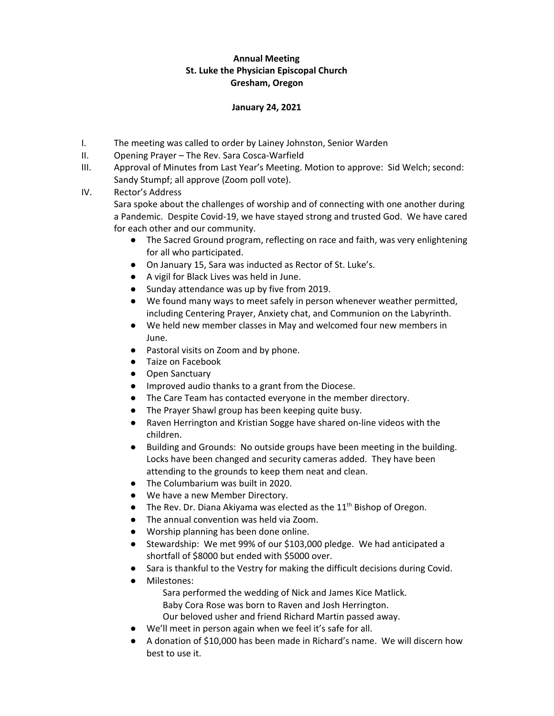## **Annual Meeting St. Luke the Physician Episcopal Church Gresham, Oregon**

## **January 24, 2021**

- I. The meeting was called to order by Lainey Johnston, Senior Warden
- II. Opening Prayer The Rev. Sara Cosca-Warfield
- III. Approval of Minutes from Last Year's Meeting. Motion to approve: Sid Welch; second: Sandy Stumpf; all approve (Zoom poll vote).
- IV. Rector's Address

Sara spoke about the challenges of worship and of connecting with one another during a Pandemic. Despite Covid-19, we have stayed strong and trusted God. We have cared for each other and our community.

- The Sacred Ground program, reflecting on race and faith, was very enlightening for all who participated.
- On January 15, Sara was inducted as Rector of St. Luke's.
- A vigil for Black Lives was held in June.
- Sunday attendance was up by five from 2019.
- We found many ways to meet safely in person whenever weather permitted, including Centering Prayer, Anxiety chat, and Communion on the Labyrinth.
- We held new member classes in May and welcomed four new members in June.
- Pastoral visits on Zoom and by phone.
- Taize on Facebook
- Open Sanctuary
- Improved audio thanks to a grant from the Diocese.
- The Care Team has contacted everyone in the member directory.
- The Prayer Shawl group has been keeping quite busy.
- Raven Herrington and Kristian Sogge have shared on-line videos with the children.
- Building and Grounds: No outside groups have been meeting in the building. Locks have been changed and security cameras added. They have been attending to the grounds to keep them neat and clean.
- The Columbarium was built in 2020.
- We have a new Member Directory.
- $\bullet$  The Rev. Dr. Diana Akiyama was elected as the 11<sup>th</sup> Bishop of Oregon.
- The annual convention was held via Zoom.
- Worship planning has been done online.
- Stewardship: We met 99% of our \$103,000 pledge. We had anticipated a shortfall of \$8000 but ended with \$5000 over.
- Sara is thankful to the Vestry for making the difficult decisions during Covid.
	- Milestones: Sara performed the wedding of Nick and James Kice Matlick. Baby Cora Rose was born to Raven and Josh Herrington. Our beloved usher and friend Richard Martin passed away.
- We'll meet in person again when we feel it's safe for all.
- A donation of \$10,000 has been made in Richard's name. We will discern how best to use it.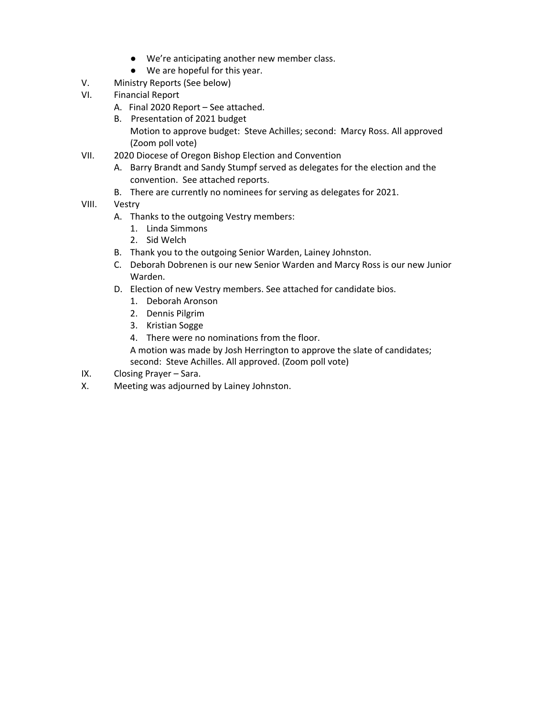- We're anticipating another new member class.
- We are hopeful for this year.
- V. Ministry Reports (See below)
- VI. Financial Report
	- A. Final 2020 Report See attached.
	- B. Presentation of 2021 budget Motion to approve budget: Steve Achilles; second: Marcy Ross. All approved (Zoom poll vote)
- VII. 2020 Diocese of Oregon Bishop Election and Convention
	- A. Barry Brandt and Sandy Stumpf served as delegates for the election and the convention. See attached reports.
	- B. There are currently no nominees for serving as delegates for 2021.
- VIII. Vestry
	- A. Thanks to the outgoing Vestry members:
		- 1. Linda Simmons
		- 2. Sid Welch
	- B. Thank you to the outgoing Senior Warden, Lainey Johnston.
	- C. Deborah Dobrenen is our new Senior Warden and Marcy Ross is our new Junior Warden.
	- D. Election of new Vestry members. See attached for candidate bios.
		- 1. Deborah Aronson
		- 2. Dennis Pilgrim
		- 3. Kristian Sogge
		- 4. There were no nominations from the floor.
		- A motion was made by Josh Herrington to approve the slate of candidates; second: Steve Achilles. All approved. (Zoom poll vote)
- IX. Closing Prayer Sara.
- X. Meeting was adjourned by Lainey Johnston.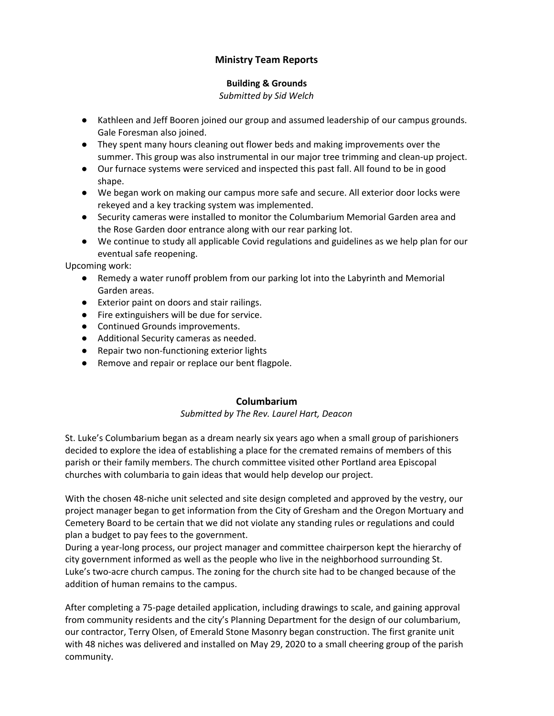# **Ministry Team Reports**

## **Building & Grounds**

*Submitted by Sid Welch*

- Kathleen and Jeff Booren joined our group and assumed leadership of our campus grounds. Gale Foresman also joined.
- They spent many hours cleaning out flower beds and making improvements over the summer. This group was also instrumental in our major tree trimming and clean-up project.
- Our furnace systems were serviced and inspected this past fall. All found to be in good shape.
- We began work on making our campus more safe and secure. All exterior door locks were rekeyed and a key tracking system was implemented.
- Security cameras were installed to monitor the Columbarium Memorial Garden area and the Rose Garden door entrance along with our rear parking lot.
- We continue to study all applicable Covid regulations and guidelines as we help plan for our eventual safe reopening.

Upcoming work:

- Remedy a water runoff problem from our parking lot into the Labyrinth and Memorial Garden areas.
- Exterior paint on doors and stair railings.
- Fire extinguishers will be due for service.
- Continued Grounds improvements.
- Additional Security cameras as needed.
- Repair two non-functioning exterior lights
- Remove and repair or replace our bent flagpole.

# **Columbarium**

## *Submitted by The Rev. Laurel Hart, Deacon*

St. Luke's Columbarium began as a dream nearly six years ago when a small group of parishioners decided to explore the idea of establishing a place for the cremated remains of members of this parish or their family members. The church committee visited other Portland area Episcopal churches with columbaria to gain ideas that would help develop our project.

With the chosen 48-niche unit selected and site design completed and approved by the vestry, our project manager began to get information from the City of Gresham and the Oregon Mortuary and Cemetery Board to be certain that we did not violate any standing rules or regulations and could plan a budget to pay fees to the government.

During a year-long process, our project manager and committee chairperson kept the hierarchy of city government informed as well as the people who live in the neighborhood surrounding St. Luke's two-acre church campus. The zoning for the church site had to be changed because of the addition of human remains to the campus.

After completing a 75-page detailed application, including drawings to scale, and gaining approval from community residents and the city's Planning Department for the design of our columbarium, our contractor, Terry Olsen, of Emerald Stone Masonry began construction. The first granite unit with 48 niches was delivered and installed on May 29, 2020 to a small cheering group of the parish community.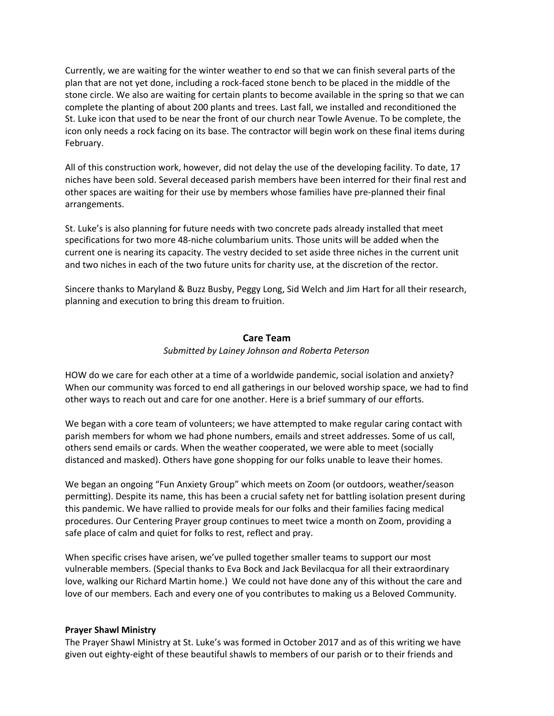Currently, we are waiting for the winter weather to end so that we can finish several parts of the plan that are not yet done, including a rock-faced stone bench to be placed in the middle of the stone circle. We also are waiting for certain plants to become available in the spring so that we can complete the planting of about 200 plants and trees. Last fall, we installed and reconditioned the St. Luke icon that used to be near the front of our church near Towle Avenue. To be complete, the icon only needs a rock facing on its base. The contractor will begin work on these final items during February.

All of this construction work, however, did not delay the use of the developing facility. To date, 17 niches have been sold. Several deceased parish members have been interred for their final rest and other spaces are waiting for their use by members whose families have pre-planned their final arrangements.

St. Luke's is also planning for future needs with two concrete pads already installed that meet specifications for two more 48-niche columbarium units. Those units will be added when the current one is nearing its capacity. The vestry decided to set aside three niches in the current unit and two niches in each of the two future units for charity use, at the discretion of the rector.

Sincere thanks to Maryland & Buzz Busby, Peggy Long, Sid Welch and Jim Hart for all their research, planning and execution to bring this dream to fruition.

## **Care Team**

### *Submitted by Lainey Johnson and Roberta Peterson*

HOW do we care for each other at a time of a worldwide pandemic, social isolation and anxiety? When our community was forced to end all gatherings in our beloved worship space, we had to find other ways to reach out and care for one another. Here is a brief summary of our efforts.

We began with a core team of volunteers; we have attempted to make regular caring contact with parish members for whom we had phone numbers, emails and street addresses. Some of us call, others send emails or cards. When the weather cooperated, we were able to meet (socially distanced and masked). Others have gone shopping for our folks unable to leave their homes.

We began an ongoing "Fun Anxiety Group" which meets on Zoom (or outdoors, weather/season permitting). Despite its name, this has been a crucial safety net for battling isolation present during this pandemic. We have rallied to provide meals for our folks and their families facing medical procedures. Our Centering Prayer group continues to meet twice a month on Zoom, providing a safe place of calm and quiet for folks to rest, reflect and pray.

When specific crises have arisen, we've pulled together smaller teams to support our most vulnerable members. (Special thanks to Eva Bock and Jack Bevilacqua for all their extraordinary love, walking our Richard Martin home.) We could not have done any of this without the care and love of our members. Each and every one of you contributes to making us a Beloved Community.

## **Prayer Shawl Ministry**

The Prayer Shawl Ministry at St. Luke's was formed in October 2017 and as of this writing we have given out eighty-eight of these beautiful shawls to members of our parish or to their friends and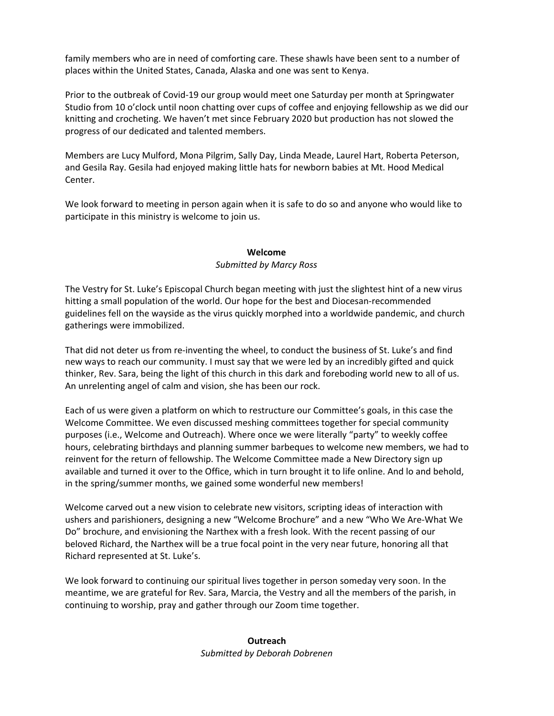family members who are in need of comforting care. These shawls have been sent to a number of places within the United States, Canada, Alaska and one was sent to Kenya.

Prior to the outbreak of Covid-19 our group would meet one Saturday per month at Springwater Studio from 10 o'clock until noon chatting over cups of coffee and enjoying fellowship as we did our knitting and crocheting. We haven't met since February 2020 but production has not slowed the progress of our dedicated and talented members.

Members are Lucy Mulford, Mona Pilgrim, Sally Day, Linda Meade, Laurel Hart, Roberta Peterson, and Gesila Ray. Gesila had enjoyed making little hats for newborn babies at Mt. Hood Medical Center.

We look forward to meeting in person again when it is safe to do so and anyone who would like to participate in this ministry is welcome to join us.

## **Welcome** *Submitted by Marcy Ross*

The Vestry for St. Luke's Episcopal Church began meeting with just the slightest hint of a new virus hitting a small population of the world. Our hope for the best and Diocesan-recommended guidelines fell on the wayside as the virus quickly morphed into a worldwide pandemic, and church gatherings were immobilized.

That did not deter us from re-inventing the wheel, to conduct the business of St. Luke's and find new ways to reach our community. I must say that we were led by an incredibly gifted and quick thinker, Rev. Sara, being the light of this church in this dark and foreboding world new to all of us. An unrelenting angel of calm and vision, she has been our rock.

Each of us were given a platform on which to restructure our Committee's goals, in this case the Welcome Committee. We even discussed meshing committees together for special community purposes (i.e., Welcome and Outreach). Where once we were literally "party" to weekly coffee hours, celebrating birthdays and planning summer barbeques to welcome new members, we had to reinvent for the return of fellowship. The Welcome Committee made a New Directory sign up available and turned it over to the Office, which in turn brought it to life online. And lo and behold, in the spring/summer months, we gained some wonderful new members!

Welcome carved out a new vision to celebrate new visitors, scripting ideas of interaction with ushers and parishioners, designing a new "Welcome Brochure" and a new "Who We Are-What We Do" brochure, and envisioning the Narthex with a fresh look. With the recent passing of our beloved Richard, the Narthex will be a true focal point in the very near future, honoring all that Richard represented at St. Luke's.

We look forward to continuing our spiritual lives together in person someday very soon. In the meantime, we are grateful for Rev. Sara, Marcia, the Vestry and all the members of the parish, in continuing to worship, pray and gather through our Zoom time together.

> **Outreach** *Submitted by Deborah Dobrenen*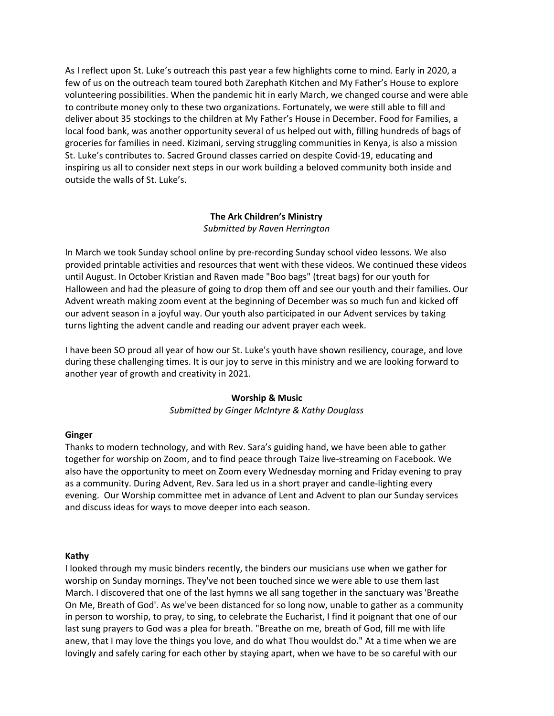As I reflect upon St. Luke's outreach this past year a few highlights come to mind. Early in 2020, a few of us on the outreach team toured both Zarephath Kitchen and My Father's House to explore volunteering possibilities. When the pandemic hit in early March, we changed course and were able to contribute money only to these two organizations. Fortunately, we were still able to fill and deliver about 35 stockings to the children at My Father's House in December. Food for Families, a local food bank, was another opportunity several of us helped out with, filling hundreds of bags of groceries for families in need. Kizimani, serving struggling communities in Kenya, is also a mission St. Luke's contributes to. Sacred Ground classes carried on despite Covid-19, educating and inspiring us all to consider next steps in our work building a beloved community both inside and outside the walls of St. Luke's.

## **The Ark Children's Ministry** *Submitted by Raven Herrington*

In March we took Sunday school online by pre-recording Sunday school video lessons. We also provided printable activities and resources that went with these videos. We continued these videos until August. In October Kristian and Raven made "Boo bags" (treat bags) for our youth for Halloween and had the pleasure of going to drop them off and see our youth and their families. Our Advent wreath making zoom event at the beginning of December was so much fun and kicked off our advent season in a joyful way. Our youth also participated in our Advent services by taking turns lighting the advent candle and reading our advent prayer each week.

I have been SO proud all year of how our St. Luke's youth have shown resiliency, courage, and love during these challenging times. It is our joy to serve in this ministry and we are looking forward to another year of growth and creativity in 2021.

## **Worship & Music**

*Submitted by Ginger McIntyre & Kathy Douglass*

#### **Ginger**

Thanks to modern technology, and with Rev. Sara's guiding hand, we have been able to gather together for worship on Zoom, and to find peace through Taize live-streaming on Facebook. We also have the opportunity to meet on Zoom every Wednesday morning and Friday evening to pray as a community. During Advent, Rev. Sara led us in a short prayer and candle-lighting every evening. Our Worship committee met in advance of Lent and Advent to plan our Sunday services and discuss ideas for ways to move deeper into each season.

#### **Kathy**

I looked through my music binders recently, the binders our musicians use when we gather for worship on Sunday mornings. They've not been touched since we were able to use them last March. I discovered that one of the last hymns we all sang together in the sanctuary was 'Breathe On Me, Breath of God'. As we've been distanced for so long now, unable to gather as a community in person to worship, to pray, to sing, to celebrate the Eucharist, I find it poignant that one of our last sung prayers to God was a plea for breath. "Breathe on me, breath of God, fill me with life anew, that I may love the things you love, and do what Thou wouldst do." At a time when we are lovingly and safely caring for each other by staying apart, when we have to be so careful with our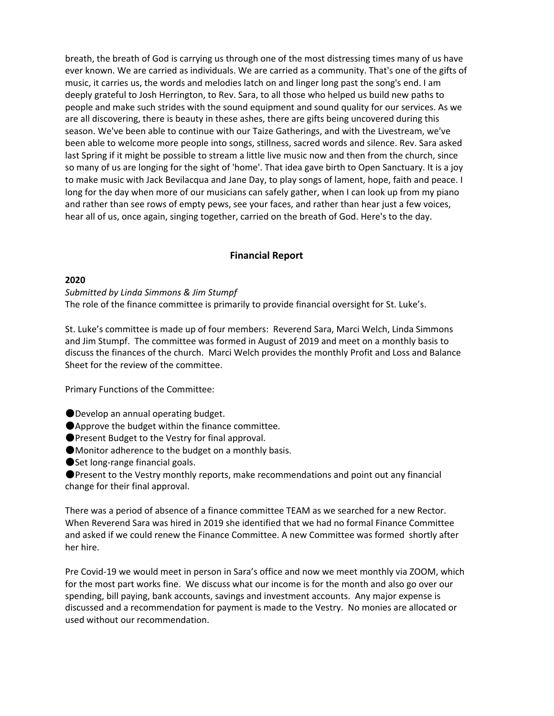breath, the breath of God is carrying us through one of the most distressing times many of us have ever known. We are carried as individuals. We are carried as a community. That's one of the gifts of music, it carries us, the words and melodies latch on and linger long past the song's end. I am deeply grateful to Josh Herrington, to Rev. Sara, to all those who helped us build new paths to people and make such strides with the sound equipment and sound quality for our services. As we are all discovering, there is beauty in these ashes, there are gifts being uncovered during this season. We've been able to continue with our Taize Gatherings, and with the Livestream, we've been able to welcome more people into songs, stillness, sacred words and silence. Rev. Sara asked last Spring if it might be possible to stream a little live music now and then from the church, since so many of us are longing for the sight of 'home'. That idea gave birth to Open Sanctuary. It is a joy to make music with Jack Bevilacqua and Jane Day, to play songs of lament, hope, faith and peace. I long for the day when more of our musicians can safely gather, when I can look up from my piano and rather than see rows of empty pews, see your faces, and rather than hear just a few voices, hear all of us, once again, singing together, carried on the breath of God. Here's to the day.

## **Financial Report**

#### **2020**

*Submitted by Linda Simmons & Jim Stumpf* The role of the finance committee is primarily to provide financial oversight for St. Luke's.

St. Luke's committee is made up of four members: Reverend Sara, Marci Welch, Linda Simmons and Jim Stumpf. The committee was formed in August of 2019 and meet on a monthly basis to discuss the finances of the church. Marci Welch provides the monthly Profit and Loss and Balance Sheet for the review of the committee.

Primary Functions of the Committee:

- ●Develop an annual operating budget.
- ●Approve the budget within the finance committee.
- ●Present Budget to the Vestry for final approval.
- ●Monitor adherence to the budget on a monthly basis.
- Set long-range financial goals.

●Present to the Vestry monthly reports, make recommendations and point out any financial change for their final approval.

There was a period of absence of a finance committee TEAM as we searched for a new Rector. When Reverend Sara was hired in 2019 she identified that we had no formal Finance Committee and asked if we could renew the Finance Committee. A new Committee was formed shortly after her hire.

Pre Covid-19 we would meet in person in Sara's office and now we meet monthly via ZOOM, which for the most part works fine. We discuss what our income is for the month and also go over our spending, bill paying, bank accounts, savings and investment accounts. Any major expense is discussed and a recommendation for payment is made to the Vestry. No monies are allocated or used without our recommendation.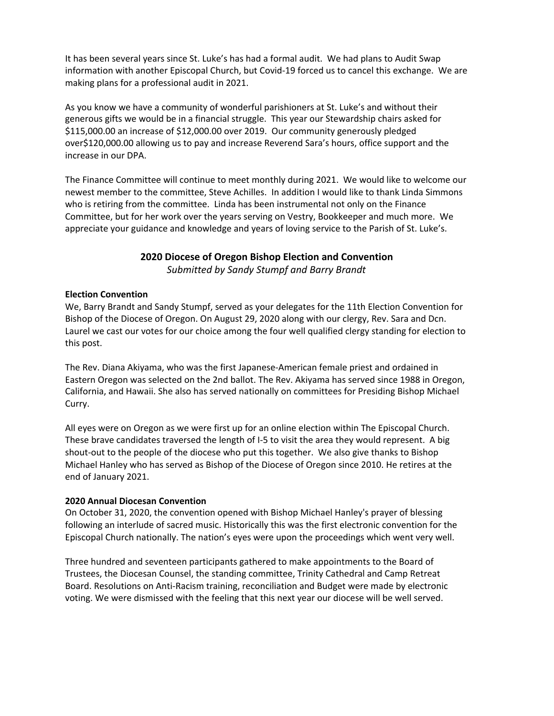It has been several years since St. Luke's has had a formal audit. We had plans to Audit Swap information with another Episcopal Church, but Covid-19 forced us to cancel this exchange. We are making plans for a professional audit in 2021.

As you know we have a community of wonderful parishioners at St. Luke's and without their generous gifts we would be in a financial struggle. This year our Stewardship chairs asked for \$115,000.00 an increase of \$12,000.00 over 2019. Our community generously pledged over\$120,000.00 allowing us to pay and increase Reverend Sara's hours, office support and the increase in our DPA.

The Finance Committee will continue to meet monthly during 2021. We would like to welcome our newest member to the committee, Steve Achilles. In addition I would like to thank Linda Simmons who is retiring from the committee. Linda has been instrumental not only on the Finance Committee, but for her work over the years serving on Vestry, Bookkeeper and much more. We appreciate your guidance and knowledge and years of loving service to the Parish of St. Luke's.

## **2020 Diocese of Oregon Bishop Election and Convention**

*Submitted by Sandy Stumpf and Barry Brandt*

### **Election Convention**

We, Barry Brandt and Sandy Stumpf, served as your delegates for the 11th Election Convention for Bishop of the Diocese of Oregon. On August 29, 2020 along with our clergy, Rev. Sara and Dcn. Laurel we cast our votes for our choice among the four well qualified clergy standing for election to this post.

The Rev. Diana Akiyama, who was the first Japanese-American female priest and ordained in Eastern Oregon was selected on the 2nd ballot. The Rev. Akiyama has served since 1988 in Oregon, California, and Hawaii. She also has served nationally on committees for Presiding Bishop Michael Curry.

All eyes were on Oregon as we were first up for an online election within The Episcopal Church. These brave candidates traversed the length of I-5 to visit the area they would represent. A big shout-out to the people of the diocese who put this together. We also give thanks to Bishop Michael Hanley who has served as Bishop of the Diocese of Oregon since 2010. He retires at the end of January 2021.

#### **2020 Annual Diocesan Convention**

On October 31, 2020, the convention opened with Bishop Michael Hanley's prayer of blessing following an interlude of sacred music. Historically this was the first electronic convention for the Episcopal Church nationally. The nation's eyes were upon the proceedings which went very well.

Three hundred and seventeen participants gathered to make appointments to the Board of Trustees, the Diocesan Counsel, the standing committee, Trinity Cathedral and Camp Retreat Board. Resolutions on Anti-Racism training, reconciliation and Budget were made by electronic voting. We were dismissed with the feeling that this next year our diocese will be well served.